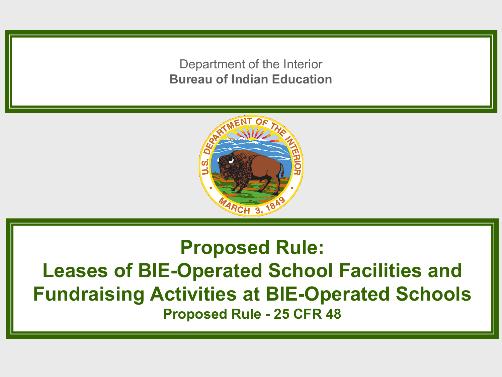Department of the Interior **Bureau of Indian Education**



#### **Proposed Rule: Leases of BIE-Operated School Facilities and Fundraising Activities at BIE-Operated Schools Proposed Rule - 25 CFR 48**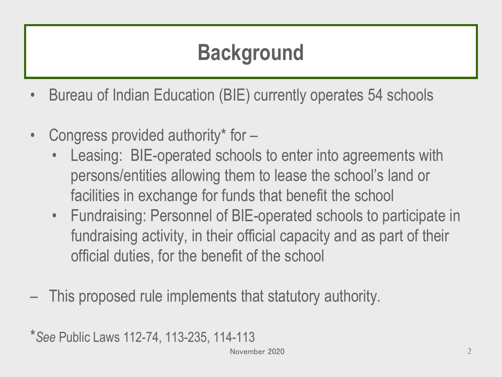#### **Background**

- Bureau of Indian Education (BIE) currently operates 54 schools
- Congress provided authority\* for
	- Leasing: BIE-operated schools to enter into agreements with persons/entities allowing them to lease the school's land or facilities in exchange for funds that benefit the school
	- Fundraising: Personnel of BIE-operated schools to participate in fundraising activity, in their official capacity and as part of their official duties, for the benefit of the school
- This proposed rule implements that statutory authority.

\**See* Public Laws 112-74, 113-235, 114-113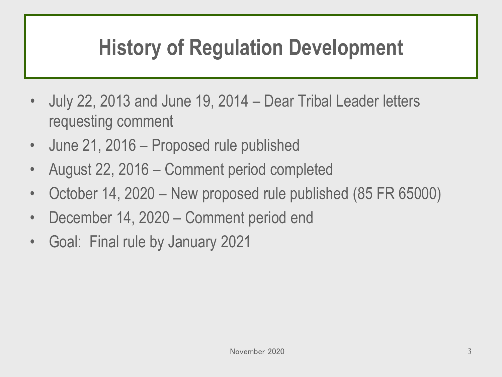#### **History of Regulation Development**

- July 22, 2013 and June 19, 2014 Dear Tribal Leader letters requesting comment
- June 21, 2016 Proposed rule published
- August 22, 2016 Comment period completed
- October 14, 2020 New proposed rule published (85 FR 65000)
- December 14, 2020 Comment period end
- Goal: Final rule by January 2021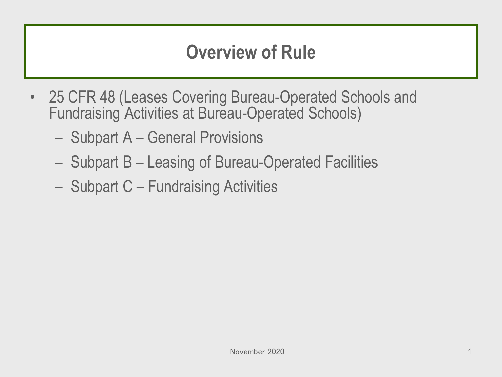#### **Overview of Rule**

- 25 CFR 48 (Leases Covering Bureau-Operated Schools and Fundraising Activities at Bureau-Operated Schools)
	- Subpart A General Provisions
	- Subpart B Leasing of Bureau-Operated Facilities
	- Subpart C Fundraising Activities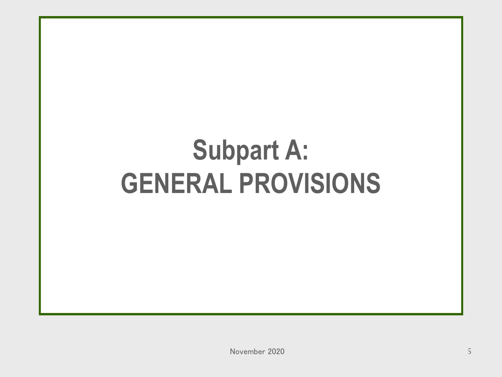# **Subpart A: GENERAL PROVISIONS**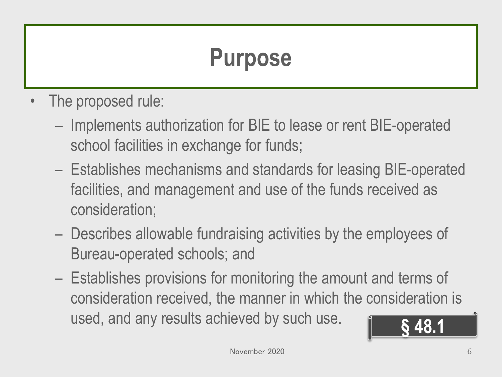#### **Purpose**

- The proposed rule:
	- Implements authorization for BIE to lease or rent BIE-operated school facilities in exchange for funds;
	- Establishes mechanisms and standards for leasing BIE-operated facilities, and management and use of the funds received as consideration;
	- Describes allowable fundraising activities by the employees of Bureau-operated schools; and
	- Establishes provisions for monitoring the amount and terms of consideration received, the manner in which the consideration is used, and any results achieved by such use. **§ 48.1**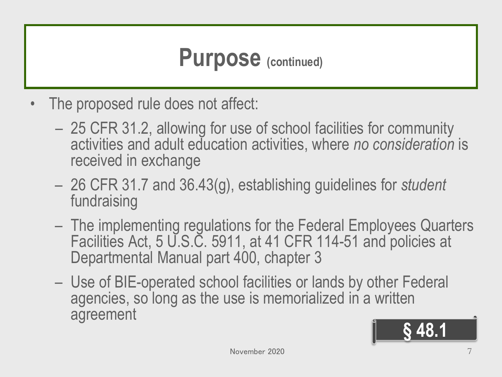#### **Purpose (continued)**

- The proposed rule does not affect:
	- 25 CFR 31.2, allowing for use of school facilities for community activities and adult education activities, where *no consideration* is received in exchange
	- 26 CFR 31.7 and 36.43(g), establishing guidelines for *student*  fundraising
	- The implementing regulations for the Federal Employees Quarters Facilities Act, 5 U.S.C. 5911, at 41 CFR 114-51 and policies at Departmental Manual part 400, chapter 3
	- Use of BIE-operated school facilities or lands by other Federal agencies, so long as the use is memorialized in a written agreement

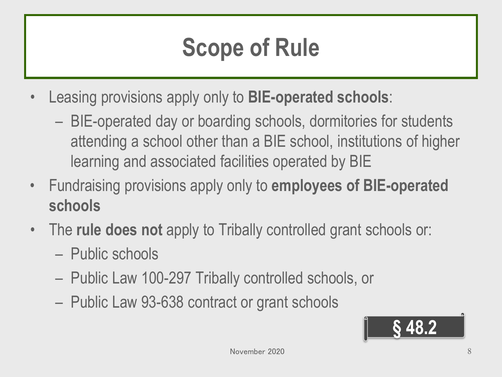## **Scope of Rule**

- Leasing provisions apply only to **BIE-operated schools**:
	- BIE-operated day or boarding schools, dormitories for students attending a school other than a BIE school, institutions of higher learning and associated facilities operated by BIE
- Fundraising provisions apply only to **employees of BIE-operated schools**
- The **rule does not** apply to Tribally controlled grant schools or:
	- Public schools
	- Public Law 100-297 Tribally controlled schools, or
	- Public Law 93-638 contract or grant schools

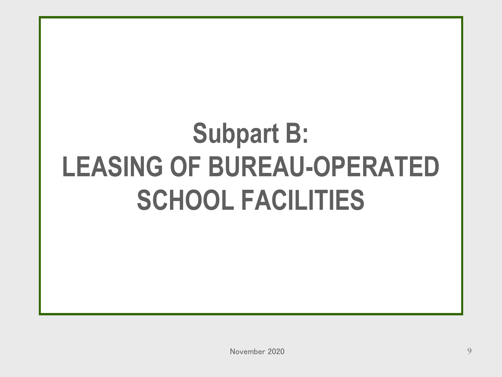# **Subpart B: LEASING OF BUREAU-OPERATED SCHOOL FACILITIES**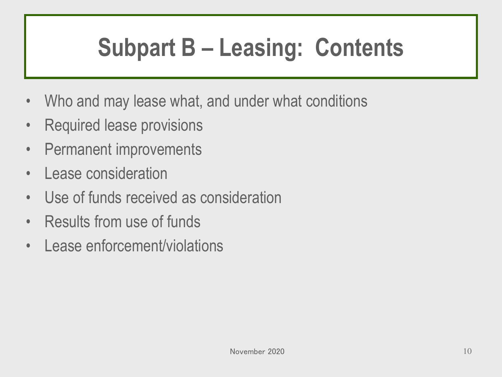## **Subpart B – Leasing: Contents**

- Who and may lease what, and under what conditions
- Required lease provisions
- Permanent improvements
- Lease consideration
- Use of funds received as consideration
- Results from use of funds
- Lease enforcement/violations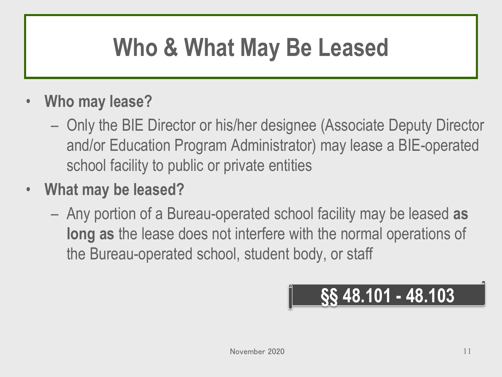## **Who & What May Be Leased**

#### • **Who may lease?**

- Only the BIE Director or his/her designee (Associate Deputy Director and/or Education Program Administrator) may lease a BIE-operated school facility to public or private entities
- **What may be leased?** 
	- Any portion of a Bureau-operated school facility may be leased **as long as** the lease does not interfere with the normal operations of the Bureau-operated school, student body, or staff

$$
\frac{\$}\$48.101 - 48.103
$$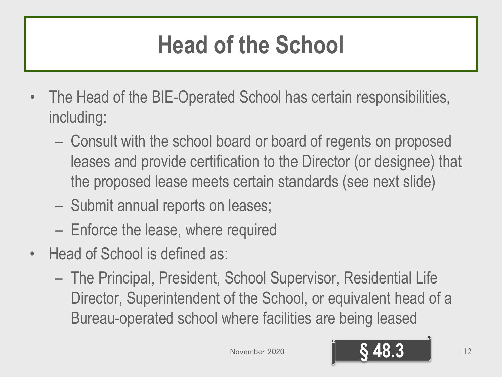## **Head of the School**

- The Head of the BIE-Operated School has certain responsibilities, including:
	- Consult with the school board or board of regents on proposed leases and provide certification to the Director (or designee) that the proposed lease meets certain standards (see next slide)
	- Submit annual reports on leases;
	- Enforce the lease, where required
- Head of School is defined as:
	- The Principal, President, School Supervisor, Residential Life Director, Superintendent of the School, or equivalent head of a Bureau-operated school where facilities are being leased

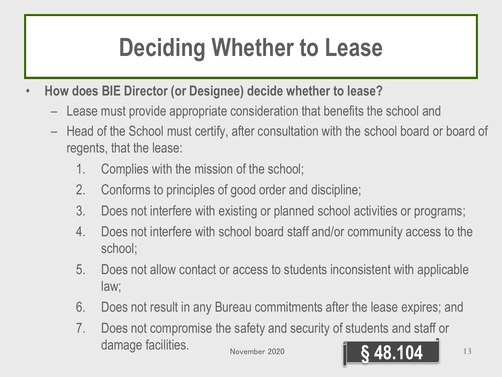## **Deciding Whether to Lease**

- **How does BIE Director (or Designee) decide whether to lease?**
	- Lease must provide appropriate consideration that benefits the school and
	- Head of the School must certify, after consultation with the school board or board of regents, that the lease:
		- 1. Complies with the mission of the school;
		- 2. Conforms to principles of good order and discipline;
		- 3. Does not interfere with existing or planned school activities or programs;
		- 4. Does not interfere with school board staff and/or community access to the school;
		- 5. Does not allow contact or access to students inconsistent with applicable law;
		- 6. Does not result in any Bureau commitments after the lease expires; and
		- 7. Does not compromise the safety and security of students and staff or **damage facilities.** November 2020 **18.18.104** 13

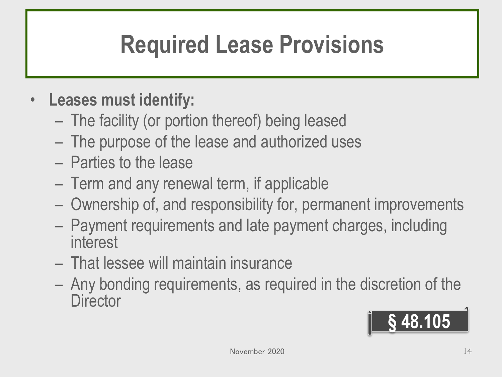## **Required Lease Provisions**

#### • **Leases must identify:**

- The facility (or portion thereof) being leased
- The purpose of the lease and authorized uses
- Parties to the lease
- Term and any renewal term, if applicable
- Ownership of, and responsibility for, permanent improvements
- Payment requirements and late payment charges, including interest
- That lessee will maintain insurance
- Any bonding requirements, as required in the discretion of the **Director**

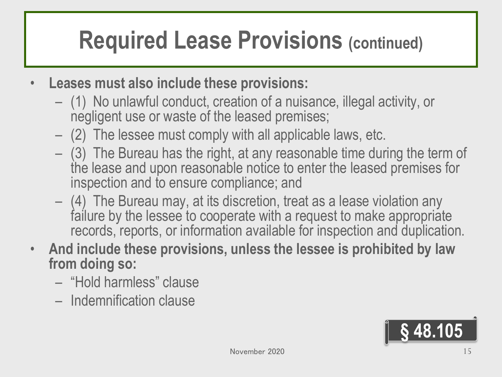#### **Required Lease Provisions (continued)**

- **Leases must also include these provisions:**
	- (1) No unlawful conduct, creation of a nuisance, illegal activity, or negligent use or waste of the leased premises;
	- (2) The lessee must comply with all applicable laws, etc.
	- (3) The Bureau has the right, at any reasonable time during the term of the lease and upon reasonable notice to enter the leased premises for inspection and to ensure compliance; and
	- (4) The Bureau may, at its discretion, treat as a lease violation any failure by the lessee to cooperate with a request to make appropriate records, reports, or information available for inspection and duplication.
- **And include these provisions, unless the lessee is prohibited by law from doing so:**
	- "Hold harmless" clause
	- Indemnification clause

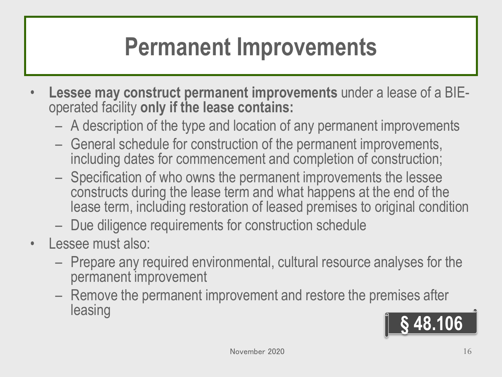#### **Permanent Improvements**

- **Lessee may construct permanent improvements** under a lease of a BIE- operated facility **only if the lease contains:**
	- A description of the type and location of any permanent improvements
	- General schedule for construction of the permanent improvements, including dates for commencement and completion of construction;
	- Specification of who owns the permanent improvements the lessee constructs during the lease term and what happens at the end of the lease term, including restoration of leased premises to original condition
	- Due diligence requirements for construction schedule
- Lessee must also:
	- Prepare any required environmental, cultural resource analyses for the permanent improvement
	- Remove the permanent improvement and restore the premises after leasing **§ 48.106**

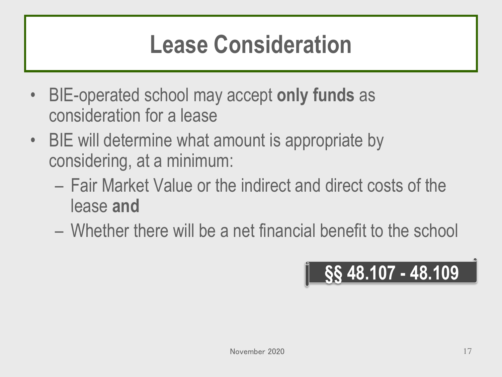#### **Lease Consideration**

- BIE-operated school may accept **only funds** as consideration for a lease
- BIE will determine what amount is appropriate by considering, at a minimum:
	- Fair Market Value or the indirect and direct costs of the lease **and**
	- Whether there will be a net financial benefit to the school

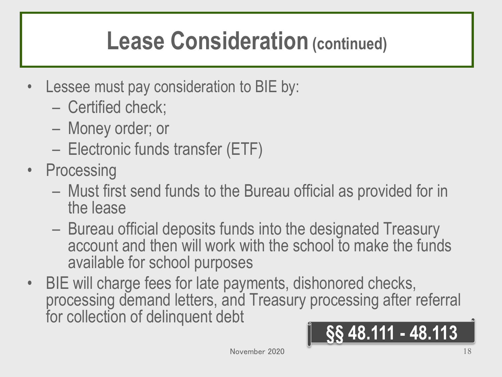#### **Lease Consideration (continued)**

- Lessee must pay consideration to BIE by:
	- Certified check;
	- Money order; or
	- Electronic funds transfer (ETF)
- Processing
	- Must first send funds to the Bureau official as provided for in the lease
	- Bureau official deposits funds into the designated Treasury account and then will work with the school to make the funds available for school purposes
- BIE will charge fees for late payments, dishonored checks, processing demand letters, and Treasury processing after referral for collection of delinquent debt **§§ 48.111 - 48.113**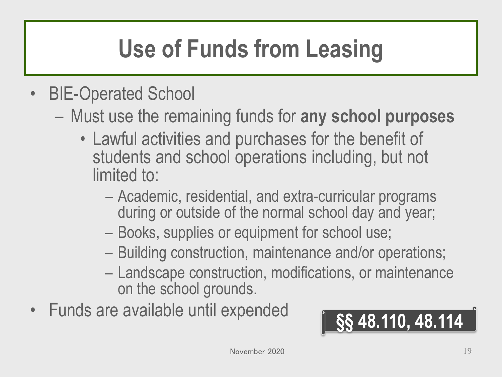# **Use of Funds from Leasing**

- BIE-Operated School
	- Must use the remaining funds for **any school purposes**
		- Lawful activities and purchases for the benefit of students and school operations including, but not limited to:
			- Academic, residential, and extra-curricular programs during or outside of the normal school day and year;
			- Books, supplies or equipment for school use;
			- Building construction, maintenance and/or operations;
			- Landscape construction, modifications, or maintenance on the school grounds.
- Funds are available until expended **§§ 48.110, 48.114**

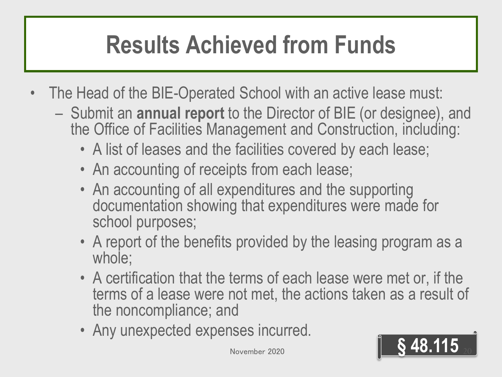## **Results Achieved from Funds**

- The Head of the BIE-Operated School with an active lease must:
	- Submit an **annual report** to the Director of BIE (or designee), and the Office of Facilities Management and Construction, including:
		- A list of leases and the facilities covered by each lease;
		- An accounting of receipts from each lease;
		- An accounting of all expenditures and the supporting documentation showing that expenditures were made for school purposes;
		- A report of the benefits provided by the leasing program as a whole;
		- A certification that the terms of each lease were met or, if the terms of a lease were not met, the actions taken as a result of the noncompliance; and
		- Any unexpected expenses incurred.

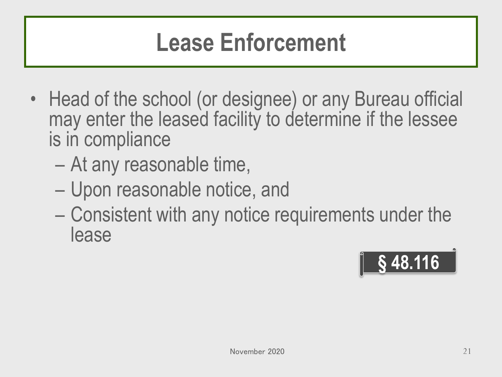#### **Lease Enforcement**

- Head of the school (or designee) or any Bureau official may enter the leased facility to determine if the lessee is in compliance
	- At any reasonable time,
	- Upon reasonable notice, and
	- Consistent with any notice requirements under the lease

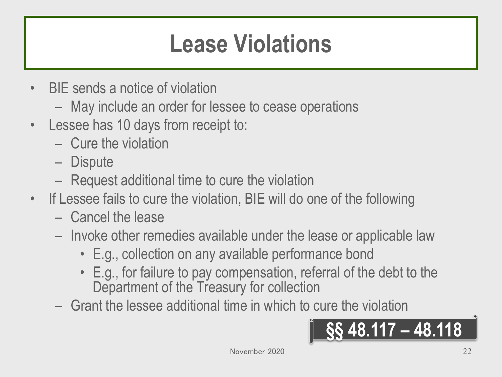#### **Lease Violations**

- BIE sends a notice of violation
	- May include an order for lessee to cease operations
- Lessee has 10 days from receipt to:
	- Cure the violation
	- Dispute
	- Request additional time to cure the violation
- If Lessee fails to cure the violation, BIE will do one of the following
	- Cancel the lease
	- Invoke other remedies available under the lease or applicable law
		- E.g., collection on any available performance bond
		- E.g., for failure to pay compensation, referral of the debt to the Department of the Treasury for collection
	- Grant the lessee additional time in which to cure the violation

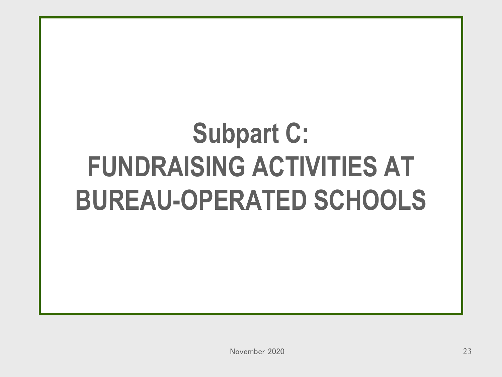# **Subpart C: FUNDRAISING ACTIVITIES AT BUREAU-OPERATED SCHOOLS**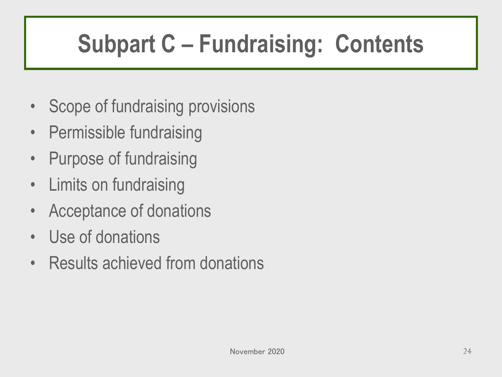# **Subpart C – Fundraising: Contents**

- Scope of fundraising provisions
- Permissible fundraising
- Purpose of fundraising
- Limits on fundraising
- Acceptance of donations
- Use of donations
- Results achieved from donations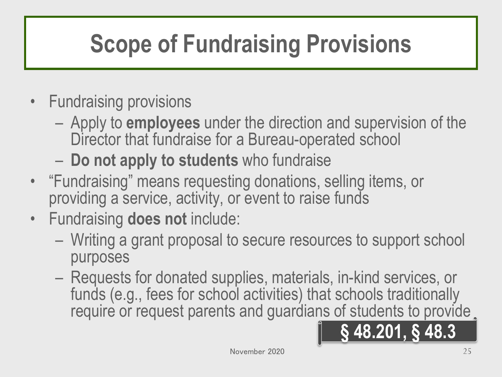# **Scope of Fundraising Provisions**

- Fundraising provisions
	- Apply to **employees** under the direction and supervision of the Director that fundraise for a Bureau-operated school
	- **Do not apply to students** who fundraise
- "Fundraising" means requesting donations, selling items, or providing a service, activity, or event to raise funds
- Fundraising **does not** include:
	- Writing a grant proposal to secure resources to support school purposes
	- Requests for donated supplies, materials, in-kind services, or funds (e.g., fees for school activities) that schools traditionally require or request parents and guardians of students to provide

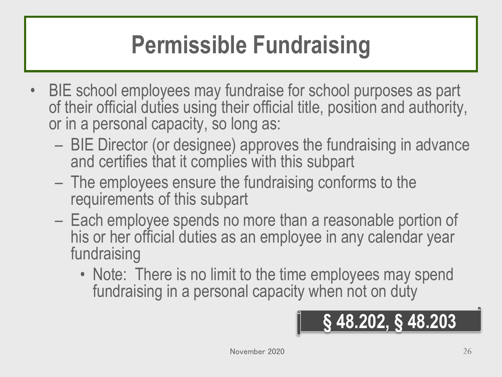## **Permissible Fundraising**

- BIE school employees may fundraise for school purposes as part of their official duties using their official title, position and authority, or in a personal capacity, so long as:
	- BIE Director (or designee) approves the fundraising in advance and certifies that it complies with this subpart
	- The employees ensure the fundraising conforms to the requirements of this subpart
	- Each employee spends no more than a reasonable portion of his or her official duties as an employee in any calendar year fundraising
		- Note: There is no limit to the time employees may spend fundraising in a personal capacity when not on duty

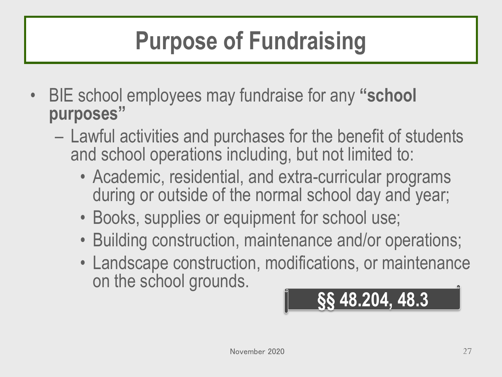## **Purpose of Fundraising**

- BIE school employees may fundraise for any **"school purposes"**
	- Lawful activities and purchases for the benefit of students and school operations including, but not limited to:
		- Academic, residential, and extra-curricular programs during or outside of the normal school day and year;
		- Books, supplies or equipment for school use;
		- Building construction, maintenance and/or operations;
		- Landscape construction, modifications, or maintenance on the school grounds.

$$
\boxed{\qquad \qquad \S\S\ 48.204, 48.3}
$$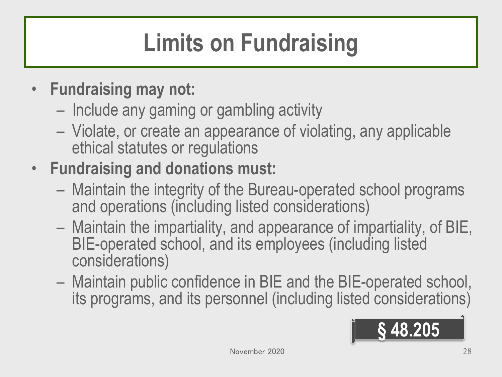# **Limits on Fundraising**

- **Fundraising may not:**
	- Include any gaming or gambling activity
	- Violate, or create an appearance of violating, any applicable ethical statutes or regulations
- **Fundraising and donations must:**
	- Maintain the integrity of the Bureau-operated school programs and operations (including listed considerations)
	- Maintain the impartiality, and appearance of impartiality, of BIE, BIE-operated school, and its employees (including listed considerations)
	- Maintain public confidence in BIE and the BIE-operated school, its programs, and its personnel (including listed considerations)

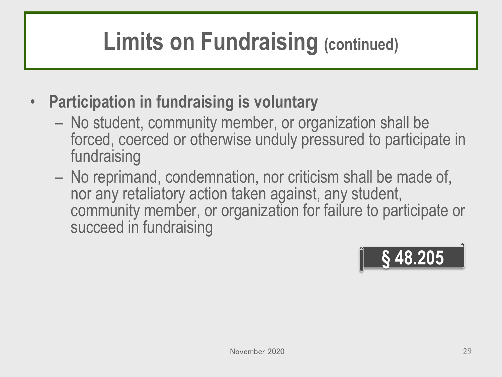## **Limits on Fundraising (continued)**

- **Participation in fundraising is voluntary**
	- No student, community member, or organization shall be forced, coerced or otherwise unduly pressured to participate in fundraising
	- No reprimand, condemnation, nor criticism shall be made of, nor any retaliatory action taken against, any student, community member, or organization for failure to participate or succeed in fundraising

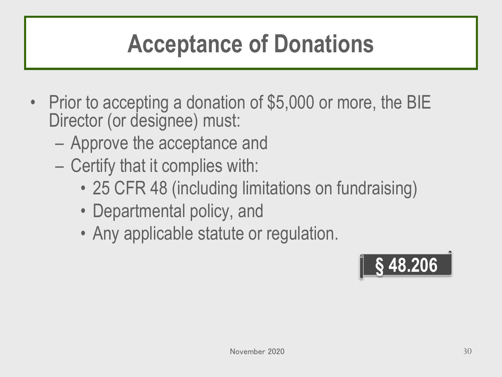### **Acceptance of Donations**

- Prior to accepting a donation of \$5,000 or more, the BIE Director (or designee) must:
	- Approve the acceptance and
	- Certify that it complies with:
		- 25 CFR 48 (including limitations on fundraising)
		- Departmental policy, and
		- Any applicable statute or regulation.

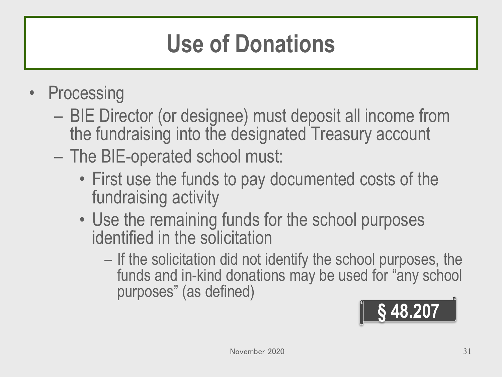## **Use of Donations**

- Processing
	- BIE Director (or designee) must deposit all income from the fundraising into the designated Treasury account
	- The BIE-operated school must:
		- First use the funds to pay documented costs of the fundraising activity
		- Use the remaining funds for the school purposes identified in the solicitation
			- If the solicitation did not identify the school purposes, the funds and in-kind donations may be used for "any school purposes" (as defined)

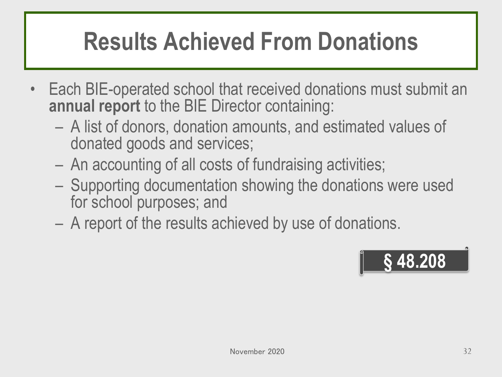## **Results Achieved From Donations**

- Each BIE-operated school that received donations must submit an **annual report** to the BIE Director containing:
	- A list of donors, donation amounts, and estimated values of donated goods and services;
	- An accounting of all costs of fundraising activities;
	- Supporting documentation showing the donations were used for school purposes; and
	- A report of the results achieved by use of donations.

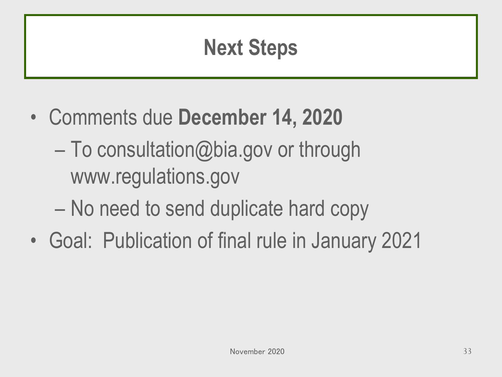#### **Next Steps**

- Comments due **December 14, 2020**
	- To consultation@bia.gov or through www.regulations.gov
	- No need to send duplicate hard copy
- Goal: Publication of final rule in January 2021